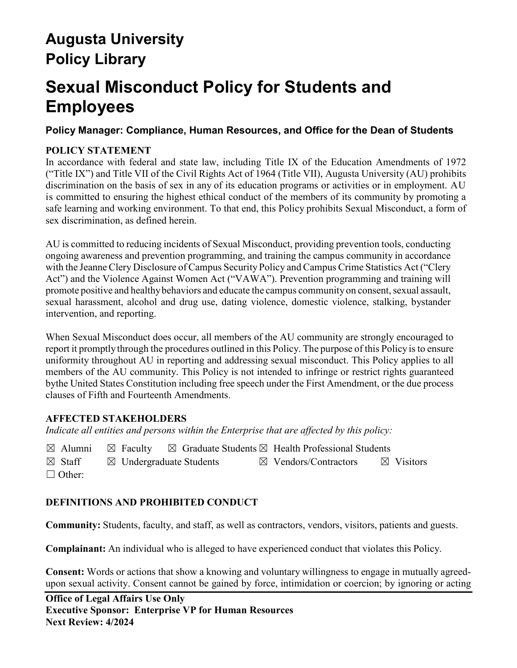# **Augusta University Policy Library**

# **Sexual Misconduct Policy for Students and Employees**

# **Policy Manager: Compliance, Human Resources, and Office for the Dean of Students**

# **POLICY STATEMENT**

In accordance with federal and state law, including Title IX of the Education Amendments of 1972 ("Title IX") and Title VII of the Civil Rights Act of 1964 (Title VII), Augusta University (AU) prohibits discrimination on the basis of sex in any of its education programs or activities or in employment. AU is committed to ensuring the highest ethical conduct of the members of its community by promoting a safe learning and working environment. To that end, this Policy prohibits Sexual Misconduct, a form of sex discrimination, as defined herein.

AU is committed to reducing incidents of Sexual Misconduct, providing prevention tools, conducting ongoing awareness and prevention programming, and training the campus community in accordance with the Jeanne Clery Disclosure of Campus Security Policy and Campus Crime Statistics Act ("Clery Act") and the Violence Against Women Act ("VAWA"). Prevention programming and training will promote positive and healthy behaviors and educate the campus community on consent, sexual assault, sexual harassment, alcohol and drug use, dating violence, domestic violence, stalking, bystander intervention, and reporting.

When Sexual Misconduct does occur, all members of the AU community are strongly encouraged to report it promptly through the procedures outlined in this Policy. The purpose of this Policy is to ensure uniformity throughout AU in reporting and addressing sexual misconduct. This Policy applies to all members of the AU community. This Policy is not intended to infringe or restrict rights guaranteed bythe United States Constitution including free speech under the First Amendment, or the due process clauses of Fifth and Fourteenth Amendments.

# **AFFECTED STAKEHOLDERS**

*Indicate all entities and persons within the Enterprise that are affected by this policy:* 

 $\boxtimes$  Alumni  $\boxtimes$  Faculty  $\boxtimes$  Graduate Students  $\boxtimes$  Health Professional Students

 $\boxtimes$  Staff  $\boxtimes$  Undergraduate Students  $\boxtimes$  Vendors/Contractors  $\boxtimes$  Visitors ☐ Other:

# **DEFINITIONS AND PROHIBITED CONDUCT**

**Community:** Students, faculty, and staff, as well as contractors, vendors, visitors, patients and guests.

**Complainant:** An individual who is alleged to have experienced conduct that violates this Policy.

**Consent:** Words or actions that show a knowing and voluntary willingness to engage in mutually agreedupon sexual activity. Consent cannot be gained by force, intimidation or coercion; by ignoring or acting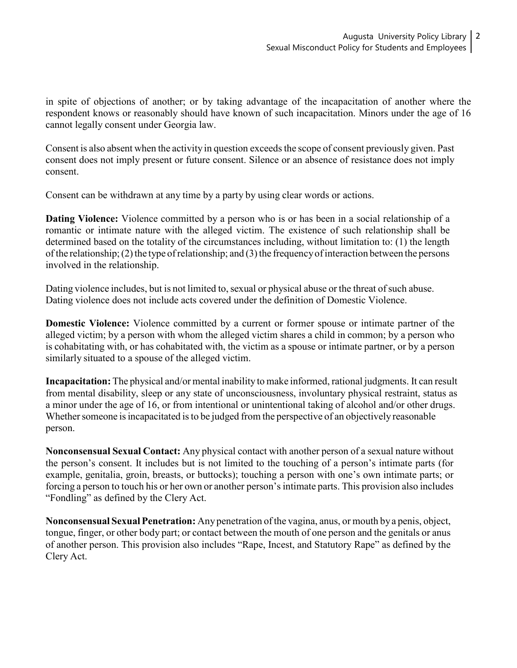in spite of objections of another; or by taking advantage of the incapacitation of another where the respondent knows or reasonably should have known of such incapacitation. Minors under the age of 16 cannot legally consent under Georgia law.

Consent is also absent when the activity in question exceeds the scope of consent previously given. Past consent does not imply present or future consent. Silence or an absence of resistance does not imply consent.

Consent can be withdrawn at any time by a party by using clear words or actions.

**Dating Violence:** Violence committed by a person who is or has been in a social relationship of a romantic or intimate nature with the alleged victim. The existence of such relationship shall be determined based on the totality of the circumstances including, without limitation to: (1) the length of the relationship; (2) the type of relationship; and (3) the frequency of interaction between the persons involved in the relationship.

Dating violence includes, but is not limited to, sexual or physical abuse or the threat of such abuse. Dating violence does not include acts covered under the definition of Domestic Violence.

**Domestic Violence:** Violence committed by a current or former spouse or intimate partner of the alleged victim; by a person with whom the alleged victim shares a child in common; by a person who is cohabitating with, or has cohabitated with, the victim as a spouse or intimate partner, or by a person similarly situated to a spouse of the alleged victim.

**Incapacitation:** The physical and/or mental inability to make informed, rational judgments. It can result from mental disability, sleep or any state of unconsciousness, involuntary physical restraint, status as a minor under the age of 16, or from intentional or unintentional taking of alcohol and/or other drugs. Whether someone is incapacitated is to be judged from the perspective of an objectively reasonable person.

**Nonconsensual Sexual Contact:** Any physical contact with another person of a sexual nature without the person's consent. It includes but is not limited to the touching of a person's intimate parts (for example, genitalia, groin, breasts, or buttocks); touching a person with one's own intimate parts; or forcing a person to touch his or her own or another person's intimate parts. This provision also includes "Fondling" as defined by the Clery Act.

**Nonconsensual SexualPenetration:** Any penetration ofthe vagina, anus, or mouth bya penis, object, tongue, finger, or other body part; or contact between the mouth of one person and the genitals or anus of another person. This provision also includes "Rape, Incest, and Statutory Rape" as defined by the Clery Act.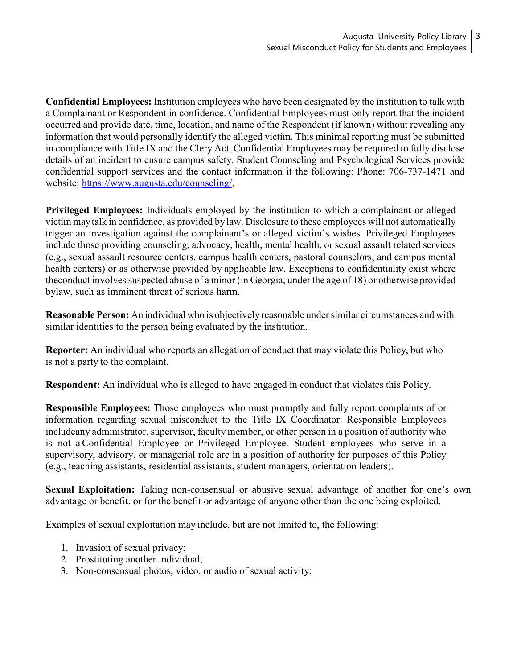**Confidential Employees:** Institution employees who have been designated by the institution to talk with a Complainant or Respondent in confidence. Confidential Employees must only report that the incident occurred and provide date, time, location, and name of the Respondent (if known) without revealing any information that would personally identify the alleged victim. This minimal reporting must be submitted in compliance with Title IX and the Clery Act. Confidential Employees may be required to fully disclose details of an incident to ensure campus safety. Student Counseling and Psychological Services provide confidential support services and the contact information it the following: Phone: 706-737-1471 and website: [https://www.augusta.edu/counseling/.](https://www.augusta.edu/counseling/)

**Privileged Employees:** Individuals employed by the institution to which a complainant or alleged victim maytalk in confidence, as provided by law. Disclosure to these employees will not automatically trigger an investigation against the complainant's or alleged victim's wishes. Privileged Employees include those providing counseling, advocacy, health, mental health, or sexual assault related services (e.g., sexual assault resource centers, campus health centers, pastoral counselors, and campus mental health centers) or as otherwise provided by applicable law. Exceptions to confidentiality exist where the conduct involves suspected abuse of a minor (in Georgia, under the age of 18) or otherwise provided bylaw, such as imminent threat of serious harm.

**Reasonable Person:** An individual who is objectively reasonable undersimilar circumstances and with similar identities to the person being evaluated by the institution.

**Reporter:** An individual who reports an allegation of conduct that may violate this Policy, but who is not a party to the complaint.

**Respondent:** An individual who is alleged to have engaged in conduct that violates this Policy.

**Responsible Employees:** Those employees who must promptly and fully report complaints of or information regarding sexual misconduct to the Title IX Coordinator. Responsible Employees includeany administrator, supervisor, faculty member, or other person in a position of authority who is not aConfidential Employee or Privileged Employee. Student employees who serve in a supervisory, advisory, or managerial role are in a position of authority for purposes of this Policy (e.g., teaching assistants, residential assistants, student managers, orientation leaders).

**Sexual Exploitation:** Taking non-consensual or abusive sexual advantage of another for one's own advantage or benefit, or for the benefit or advantage of anyone other than the one being exploited.

Examples of sexual exploitation may include, but are not limited to, the following:

- 1. Invasion of sexual privacy;
- 2. Prostituting another individual;
- 3. Non-consensual photos, video, or audio of sexual activity;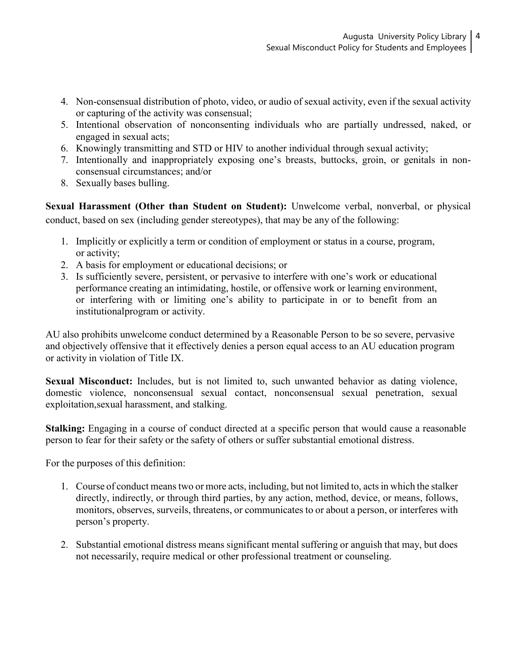- 4. Non-consensual distribution of photo, video, or audio of sexual activity, even if the sexual activity or capturing of the activity was consensual;
- 5. Intentional observation of nonconsenting individuals who are partially undressed, naked, or engaged in sexual acts;
- 6. Knowingly transmitting and STD or HIV to another individual through sexual activity;
- 7. Intentionally and inappropriately exposing one's breasts, buttocks, groin, or genitals in nonconsensual circumstances; and/or
- 8. Sexually bases bulling.

**Sexual Harassment (Other than Student on Student):** Unwelcome verbal, nonverbal, or physical conduct, based on sex (including gender stereotypes), that may be any of the following:

- 1. Implicitly or explicitly a term or condition of employment or status in a course, program, or activity;
- 2. A basis for employment or educational decisions; or
- 3. Is sufficiently severe, persistent, or pervasive to interfere with one's work or educational performance creating an intimidating, hostile, or offensive work or learning environment, or interfering with or limiting one's ability to participate in or to benefit from an institutionalprogram or activity.

AU also prohibits unwelcome conduct determined by a Reasonable Person to be so severe, pervasive and objectively offensive that it effectively denies a person equal access to an AU education program or activity in violation of Title IX.

**Sexual Misconduct:** Includes, but is not limited to, such unwanted behavior as dating violence, domestic violence, nonconsensual sexual contact, nonconsensual sexual penetration, sexual exploitation,sexual harassment, and stalking.

**Stalking:** Engaging in a course of conduct directed at a specific person that would cause a reasonable person to fear for their safety or the safety of others or suffer substantial emotional distress.

For the purposes of this definition:

- 1. Course of conduct means two or more acts, including, but not limited to, acts in which the stalker directly, indirectly, or through third parties, by any action, method, device, or means, follows, monitors, observes, surveils, threatens, or communicates to or about a person, or interferes with person's property.
- 2. Substantial emotional distress means significant mental suffering or anguish that may, but does not necessarily, require medical or other professional treatment or counseling.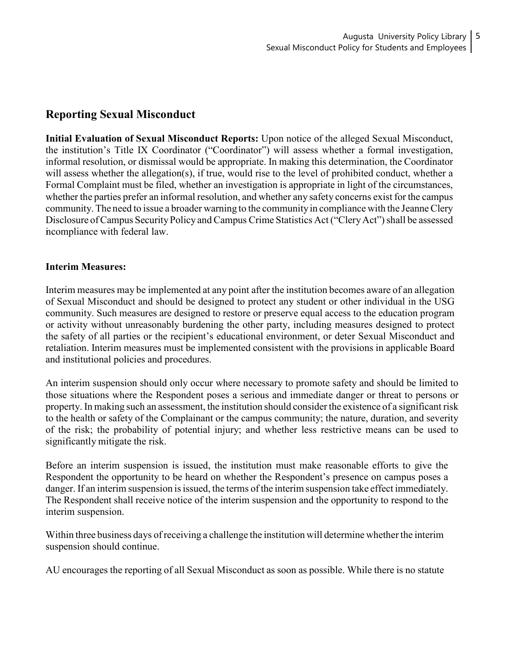# **Reporting Sexual Misconduct**

**Initial Evaluation of Sexual Misconduct Reports:** Upon notice of the alleged Sexual Misconduct, the institution's Title IX Coordinator ("Coordinator") will assess whether a formal investigation, informal resolution, or dismissal would be appropriate. In making this determination, the Coordinator will assess whether the allegation(s), if true, would rise to the level of prohibited conduct, whether a Formal Complaint must be filed, whether an investigation is appropriate in light of the circumstances, whether the parties prefer an informal resolution, and whether any safety concerns exist for the campus community. The need to issue a broader warning to the communityin compliance with the JeanneClery Disclosure of Campus Security Policy and Campus Crime Statistics Act ("Clery Act") shall be assessed incompliance with federal law.

## **Interim Measures:**

Interim measures may be implemented at any point after the institution becomes aware of an allegation of Sexual Misconduct and should be designed to protect any student or other individual in the USG community. Such measures are designed to restore or preserve equal access to the education program or activity without unreasonably burdening the other party, including measures designed to protect the safety of all parties or the recipient's educational environment, or deter Sexual Misconduct and retaliation. Interim measures must be implemented consistent with the provisions in applicable Board and institutional policies and procedures.

An interim suspension should only occur where necessary to promote safety and should be limited to those situations where the Respondent poses a serious and immediate danger or threat to persons or property. In making such an assessment, the institution should consider the existence of a significant risk to the health or safety of the Complainant or the campus community; the nature, duration, and severity of the risk; the probability of potential injury; and whether less restrictive means can be used to significantly mitigate the risk.

Before an interim suspension is issued, the institution must make reasonable efforts to give the Respondent the opportunity to be heard on whether the Respondent's presence on campus poses a danger. If an interim suspension is issued, the terms of the interim suspension take effect immediately. The Respondent shall receive notice of the interim suspension and the opportunity to respond to the interim suspension.

Within three business days of receiving a challenge the institution will determine whether the interim suspension should continue.

AU encourages the reporting of all Sexual Misconduct as soon as possible. While there is no statute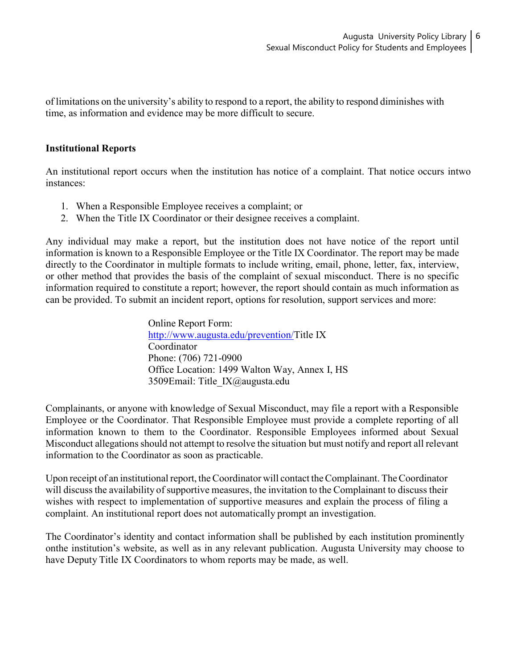of limitations on the university's ability to respond to a report, the ability to respond diminishes with time, as information and evidence may be more difficult to secure.

## **Institutional Reports**

An institutional report occurs when the institution has notice of a complaint. That notice occurs intwo instances:

- 1. When a Responsible Employee receives a complaint; or
- 2. When the Title IX Coordinator or their designee receives a complaint.

Any individual may make a report, but the institution does not have notice of the report until information is known to a Responsible Employee or the Title IX Coordinator. The report may be made directly to the Coordinator in multiple formats to include writing, email, phone, letter, fax, interview, or other method that provides the basis of the complaint of sexual misconduct. There is no specific information required to constitute a report; however, the report should contain as much information as can be provided. To submit an incident report, options for resolution, support services and more:

> Online Report Form: [http://www.augusta.edu/prevention/T](http://www.augusta.edu/prevention/)itle IX Coordinator Phone: (706) 721-0900 Office Location: 1499 Walton Way, Annex I, HS 3509Email: Title\_IX@augusta.edu

Complainants, or anyone with knowledge of Sexual Misconduct, may file a report with a Responsible Employee or the Coordinator. That Responsible Employee must provide a complete reporting of all information known to them to the Coordinator. Responsible Employees informed about Sexual Misconduct allegations should not attempt to resolve the situation but must notify and report all relevant information to the Coordinator as soon as practicable.

Upon receipt of an institutional report, theCoordinator will contact theComplainant. TheCoordinator will discuss the availability of supportive measures, the invitation to the Complainant to discuss their wishes with respect to implementation of supportive measures and explain the process of filing a complaint. An institutional report does not automatically prompt an investigation.

The Coordinator's identity and contact information shall be published by each institution prominently onthe institution's website, as well as in any relevant publication. Augusta University may choose to have Deputy Title IX Coordinators to whom reports may be made, as well.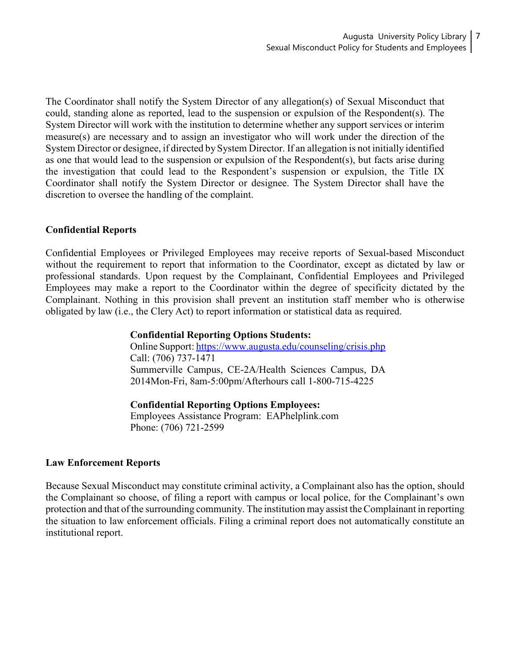The Coordinator shall notify the System Director of any allegation(s) of Sexual Misconduct that could, standing alone as reported, lead to the suspension or expulsion of the Respondent(s). The System Director will work with the institution to determine whether any support services or interim measure(s) are necessary and to assign an investigator who will work under the direction of the System Director or designee, if directed by System Director. If an allegation is not initially identified as one that would lead to the suspension or expulsion of the Respondent(s), but facts arise during the investigation that could lead to the Respondent's suspension or expulsion, the Title IX Coordinator shall notify the System Director or designee. The System Director shall have the discretion to oversee the handling of the complaint.

# **Confidential Reports**

Confidential Employees or Privileged Employees may receive reports of Sexual-based Misconduct without the requirement to report that information to the Coordinator, except as dictated by law or professional standards. Upon request by the Complainant, Confidential Employees and Privileged Employees may make a report to the Coordinator within the degree of specificity dictated by the Complainant. Nothing in this provision shall prevent an institution staff member who is otherwise obligated by law (i.e., the Clery Act) to report information or statistical data as required.

#### **Confidential Reporting Options Students:**

Online Support: <https://www.augusta.edu/counseling/crisis.php> Call: (706) 737-1471 Summerville Campus, CE-2A/Health Sciences Campus, DA 2014Mon-Fri, 8am-5:00pm/Afterhours call 1-800-715-4225

**Confidential Reporting Options Employees:**

Employees Assistance Program: EAPhelplink.com Phone: (706) 721-2599

## **Law Enforcement Reports**

Because Sexual Misconduct may constitute criminal activity, a Complainant also has the option, should the Complainant so choose, of filing a report with campus or local police, for the Complainant's own protection and that of the surrounding community. The institution may assist the Complainant in reporting the situation to law enforcement officials. Filing a criminal report does not automatically constitute an institutional report.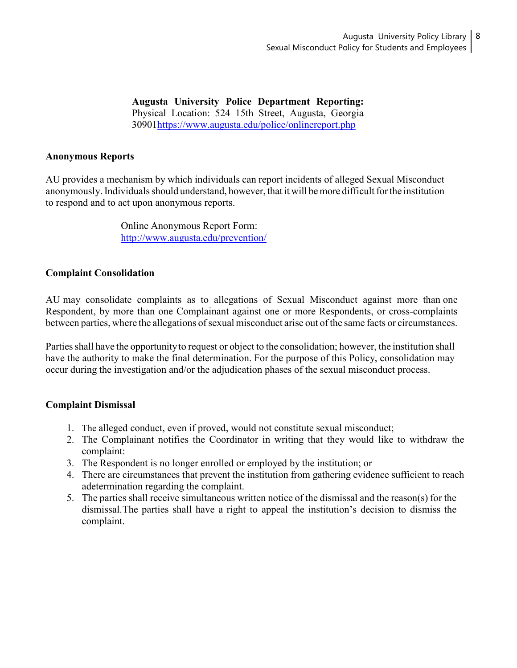**Augusta University Police Department Reporting:** Physical Location: 524 15th Street, Augusta, Georgia 3090[1https://www.augusta.edu/police/onlinereport.php](https://www.augusta.edu/police/onlinereport.php)

## **Anonymous Reports**

AU provides a mechanism by which individuals can report incidents of alleged Sexual Misconduct anonymously. Individuals should understand, however, that it will be more difficult for the institution to respond and to act upon anonymous reports.

> Online Anonymous Report Form: <http://www.augusta.edu/prevention/>

## **Complaint Consolidation**

AU may consolidate complaints as to allegations of Sexual Misconduct against more than one Respondent, by more than one Complainant against one or more Respondents, or cross-complaints between parties, where the allegations of sexual misconduct arise out of the same facts or circumstances.

Parties shall have the opportunity to request or object to the consolidation; however, the institution shall have the authority to make the final determination. For the purpose of this Policy, consolidation may occur during the investigation and/or the adjudication phases of the sexual misconduct process.

## **Complaint Dismissal**

- 1. The alleged conduct, even if proved, would not constitute sexual misconduct;
- 2. The Complainant notifies the Coordinator in writing that they would like to withdraw the complaint:
- 3. The Respondent is no longer enrolled or employed by the institution; or
- 4. There are circumstances that prevent the institution from gathering evidence sufficient to reach adetermination regarding the complaint.
- 5. The parties shall receive simultaneous written notice of the dismissal and the reason(s) for the dismissal.The parties shall have a right to appeal the institution's decision to dismiss the complaint.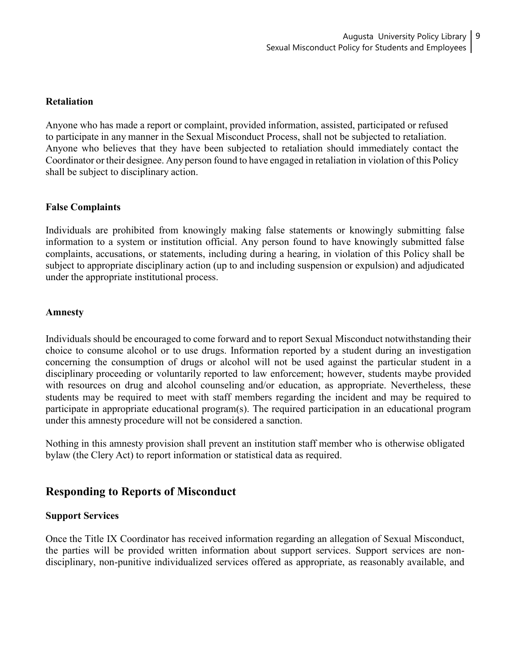#### **Retaliation**

Anyone who has made a report or complaint, provided information, assisted, participated or refused to participate in any manner in the Sexual Misconduct Process, shall not be subjected to retaliation. Anyone who believes that they have been subjected to retaliation should immediately contact the Coordinator or their designee. Any person found to have engaged in retaliation in violation of this Policy shall be subject to disciplinary action.

## **False Complaints**

Individuals are prohibited from knowingly making false statements or knowingly submitting false information to a system or institution official. Any person found to have knowingly submitted false complaints, accusations, or statements, including during a hearing, in violation of this Policy shall be subject to appropriate disciplinary action (up to and including suspension or expulsion) and adjudicated under the appropriate institutional process.

#### **Amnesty**

Individuals should be encouraged to come forward and to report Sexual Misconduct notwithstanding their choice to consume alcohol or to use drugs. Information reported by a student during an investigation concerning the consumption of drugs or alcohol will not be used against the particular student in a disciplinary proceeding or voluntarily reported to law enforcement; however, students maybe provided with resources on drug and alcohol counseling and/or education, as appropriate. Nevertheless, these students may be required to meet with staff members regarding the incident and may be required to participate in appropriate educational program(s). The required participation in an educational program under this amnesty procedure will not be considered a sanction.

Nothing in this amnesty provision shall prevent an institution staff member who is otherwise obligated bylaw (the Clery Act) to report information or statistical data as required.

# **Responding to Reports of Misconduct**

## **Support Services**

Once the Title IX Coordinator has received information regarding an allegation of Sexual Misconduct, the parties will be provided written information about support services. Support services are nondisciplinary, non-punitive individualized services offered as appropriate, as reasonably available, and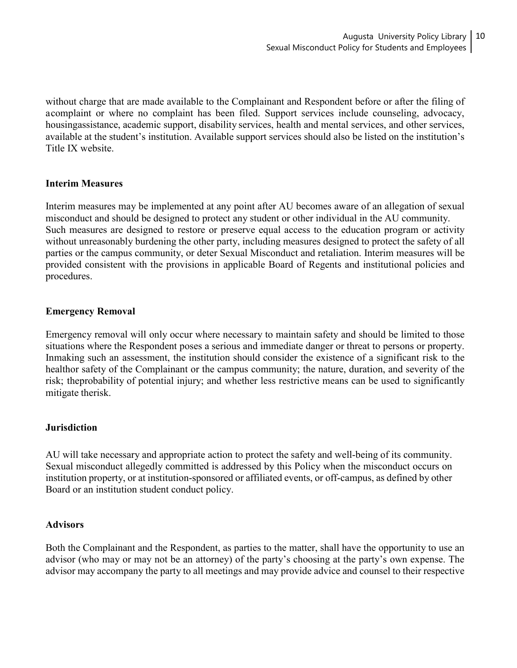without charge that are made available to the Complainant and Respondent before or after the filing of acomplaint or where no complaint has been filed. Support services include counseling, advocacy, housingassistance, academic support, disability services, health and mental services, and other services, available at the student's institution. Available support services should also be listed on the institution's Title IX website.

## **Interim Measures**

Interim measures may be implemented at any point after AU becomes aware of an allegation of sexual misconduct and should be designed to protect any student or other individual in the AU community. Such measures are designed to restore or preserve equal access to the education program or activity without unreasonably burdening the other party, including measures designed to protect the safety of all parties or the campus community, or deter Sexual Misconduct and retaliation. Interim measures will be provided consistent with the provisions in applicable Board of Regents and institutional policies and procedures.

# **Emergency Removal**

Emergency removal will only occur where necessary to maintain safety and should be limited to those situations where the Respondent poses a serious and immediate danger or threat to persons or property. Inmaking such an assessment, the institution should consider the existence of a significant risk to the healthor safety of the Complainant or the campus community; the nature, duration, and severity of the risk; theprobability of potential injury; and whether less restrictive means can be used to significantly mitigate therisk.

## **Jurisdiction**

AU will take necessary and appropriate action to protect the safety and well-being of its community. Sexual misconduct allegedly committed is addressed by this Policy when the misconduct occurs on institution property, or at institution-sponsored or affiliated events, or off-campus, as defined by other Board or an institution student conduct policy.

## **Advisors**

Both the Complainant and the Respondent, as parties to the matter, shall have the opportunity to use an advisor (who may or may not be an attorney) of the party's choosing at the party's own expense. The advisor may accompany the party to all meetings and may provide advice and counsel to their respective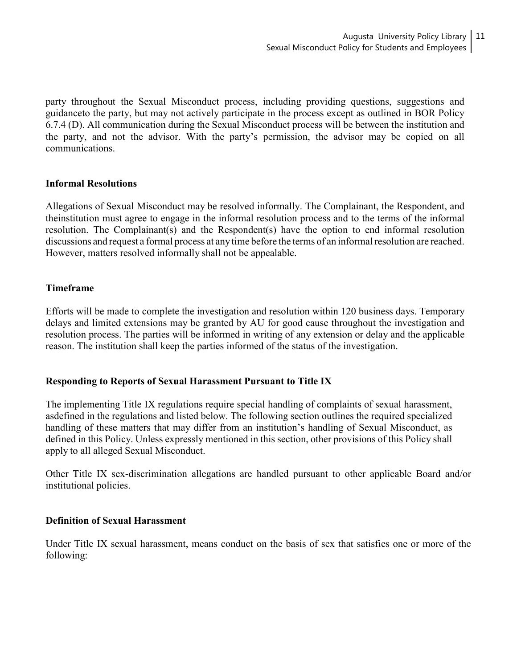party throughout the Sexual Misconduct process, including providing questions, suggestions and guidanceto the party, but may not actively participate in the process except as outlined in BOR Policy 6.7.4 (D). All communication during the Sexual Misconduct process will be between the institution and the party, and not the advisor. With the party's permission, the advisor may be copied on all communications.

# **Informal Resolutions**

Allegations of Sexual Misconduct may be resolved informally. The Complainant, the Respondent, and theinstitution must agree to engage in the informal resolution process and to the terms of the informal resolution. The Complainant(s) and the Respondent(s) have the option to end informal resolution discussions and request a formal process at any time before the terms of an informal resolution are reached. However, matters resolved informally shall not be appealable.

# **Timeframe**

Efforts will be made to complete the investigation and resolution within 120 business days. Temporary delays and limited extensions may be granted by AU for good cause throughout the investigation and resolution process. The parties will be informed in writing of any extension or delay and the applicable reason. The institution shall keep the parties informed of the status of the investigation.

# **Responding to Reports of Sexual Harassment Pursuant to Title IX**

The implementing Title IX regulations require special handling of complaints of sexual harassment, asdefined in the regulations and listed below. The following section outlines the required specialized handling of these matters that may differ from an institution's handling of Sexual Misconduct, as defined in this Policy. Unless expressly mentioned in this section, other provisions of this Policy shall apply to all alleged Sexual Misconduct.

Other Title IX sex-discrimination allegations are handled pursuant to other applicable Board and/or institutional policies.

## **Definition of Sexual Harassment**

Under Title IX sexual harassment, means conduct on the basis of sex that satisfies one or more of the following: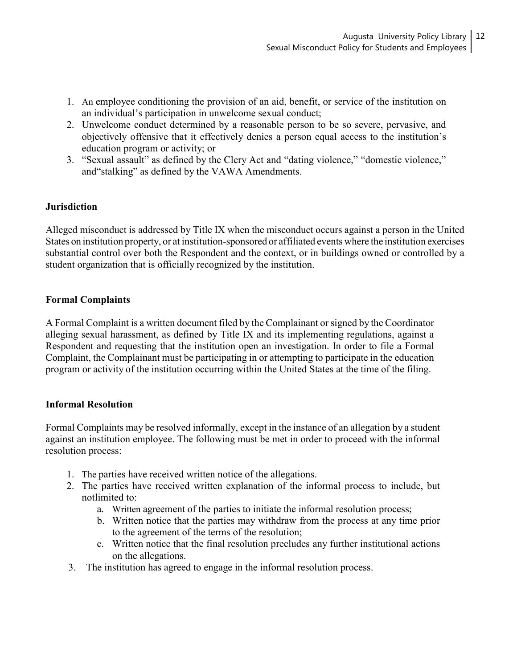- 1. An employee conditioning the provision of an aid, benefit, or service of the institution on an individual's participation in unwelcome sexual conduct;
- 2. Unwelcome conduct determined by a reasonable person to be so severe, pervasive, and objectively offensive that it effectively denies a person equal access to the institution's education program or activity; or
- 3. "Sexual assault" as defined by the Clery Act and "dating violence," "domestic violence," and"stalking" as defined by the VAWA Amendments.

# **Jurisdiction**

Alleged misconduct is addressed by Title IX when the misconduct occurs against a person in the United States on institution property, or at institution-sponsored or affiliated events where the institution exercises substantial control over both the Respondent and the context, or in buildings owned or controlled by a student organization that is officially recognized by the institution.

# **Formal Complaints**

A Formal Complaint is a written document filed by the Complainant orsigned by the Coordinator alleging sexual harassment, as defined by Title IX and its implementing regulations, against a Respondent and requesting that the institution open an investigation. In order to file a Formal Complaint, the Complainant must be participating in or attempting to participate in the education program or activity of the institution occurring within the United States at the time of the filing.

# **Informal Resolution**

Formal Complaints may be resolved informally, except in the instance of an allegation by a student against an institution employee. The following must be met in order to proceed with the informal resolution process:

- 1. The parties have received written notice of the allegations.
- 2. The parties have received written explanation of the informal process to include, but notlimited to:
	- a. Written agreement of the parties to initiate the informal resolution process;
	- b. Written notice that the parties may withdraw from the process at any time prior to the agreement of the terms of the resolution;
	- c. Written notice that the final resolution precludes any further institutional actions on the allegations.
- 3. The institution has agreed to engage in the informal resolution process.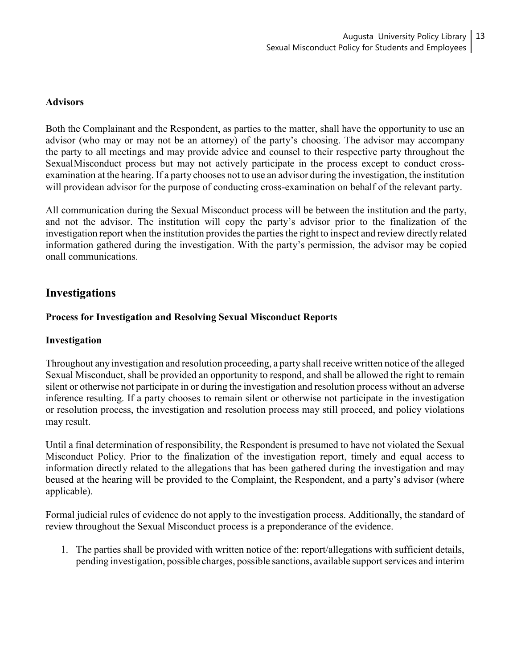## **Advisors**

Both the Complainant and the Respondent, as parties to the matter, shall have the opportunity to use an advisor (who may or may not be an attorney) of the party's choosing. The advisor may accompany the party to all meetings and may provide advice and counsel to their respective party throughout the SexualMisconduct process but may not actively participate in the process except to conduct crossexamination at the hearing. If a party chooses not to use an advisor during the investigation, the institution will providean advisor for the purpose of conducting cross-examination on behalf of the relevant party.

All communication during the Sexual Misconduct process will be between the institution and the party, and not the advisor. The institution will copy the party's advisor prior to the finalization of the investigation report when the institution provides the parties the right to inspect and review directly related information gathered during the investigation. With the party's permission, the advisor may be copied onall communications.

# **Investigations**

# **Process for Investigation and Resolving Sexual Misconduct Reports**

## **Investigation**

Throughout any investigation and resolution proceeding, a party shall receive written notice of the alleged Sexual Misconduct, shall be provided an opportunity to respond, and shall be allowed the right to remain silent or otherwise not participate in or during the investigation and resolution process without an adverse inference resulting. If a party chooses to remain silent or otherwise not participate in the investigation or resolution process, the investigation and resolution process may still proceed, and policy violations may result.

Until a final determination of responsibility, the Respondent is presumed to have not violated the Sexual Misconduct Policy. Prior to the finalization of the investigation report, timely and equal access to information directly related to the allegations that has been gathered during the investigation and may beused at the hearing will be provided to the Complaint, the Respondent, and a party's advisor (where applicable).

Formal judicial rules of evidence do not apply to the investigation process. Additionally, the standard of review throughout the Sexual Misconduct process is a preponderance of the evidence.

1. The parties shall be provided with written notice of the: report/allegations with sufficient details, pending investigation, possible charges, possible sanctions, available support services and interim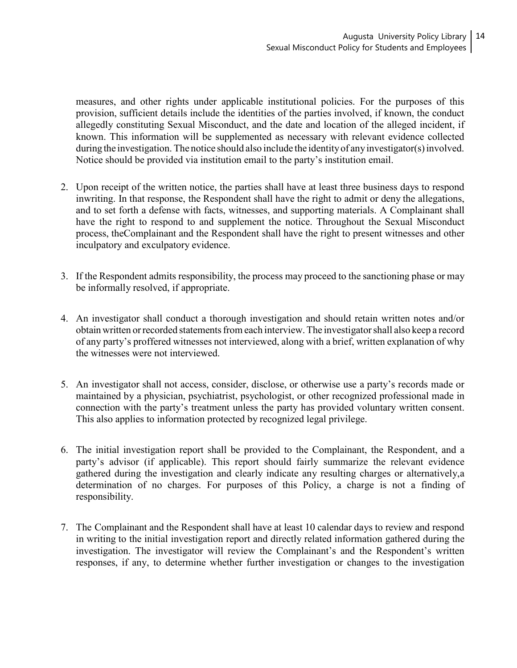measures, and other rights under applicable institutional policies. For the purposes of this provision, sufficient details include the identities of the parties involved, if known, the conduct allegedly constituting Sexual Misconduct, and the date and location of the alleged incident, if known. This information will be supplemented as necessary with relevant evidence collected during the investigation. The notice should also include the identity of any investigator(s) involved. Notice should be provided via institution email to the party's institution email.

- 2. Upon receipt of the written notice, the parties shall have at least three business days to respond inwriting. In that response, the Respondent shall have the right to admit or deny the allegations, and to set forth a defense with facts, witnesses, and supporting materials. A Complainant shall have the right to respond to and supplement the notice. Throughout the Sexual Misconduct process, theComplainant and the Respondent shall have the right to present witnesses and other inculpatory and exculpatory evidence.
- 3. If the Respondent admits responsibility, the process may proceed to the sanctioning phase or may be informally resolved, if appropriate.
- 4. An investigator shall conduct a thorough investigation and should retain written notes and/or obtain written or recorded statements from each interview. The investigator shall also keep a record of any party's proffered witnesses not interviewed, along with a brief, written explanation of why the witnesses were not interviewed.
- 5. An investigator shall not access, consider, disclose, or otherwise use a party's records made or maintained by a physician, psychiatrist, psychologist, or other recognized professional made in connection with the party's treatment unless the party has provided voluntary written consent. This also applies to information protected by recognized legal privilege.
- 6. The initial investigation report shall be provided to the Complainant, the Respondent, and a party's advisor (if applicable). This report should fairly summarize the relevant evidence gathered during the investigation and clearly indicate any resulting charges or alternatively,a determination of no charges. For purposes of this Policy, a charge is not a finding of responsibility.
- 7. The Complainant and the Respondent shall have at least 10 calendar days to review and respond in writing to the initial investigation report and directly related information gathered during the investigation. The investigator will review the Complainant's and the Respondent's written responses, if any, to determine whether further investigation or changes to the investigation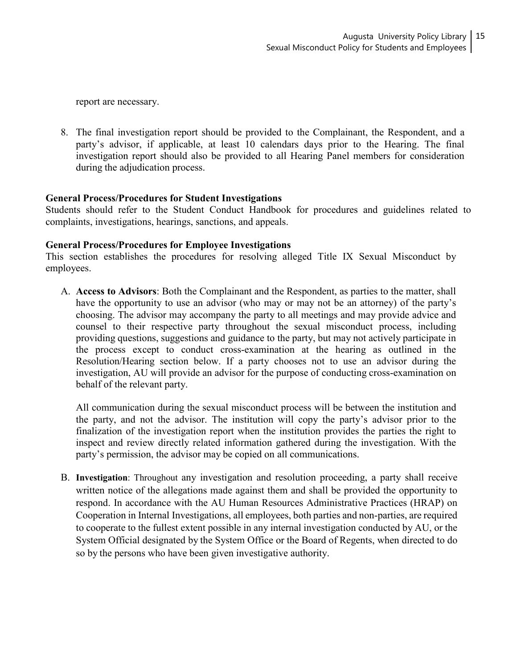report are necessary.

8. The final investigation report should be provided to the Complainant, the Respondent, and a party's advisor, if applicable, at least 10 calendars days prior to the Hearing. The final investigation report should also be provided to all Hearing Panel members for consideration during the adjudication process.

## **General Process/Procedures for Student Investigations**

Students should refer to the Student Conduct Handbook for procedures and guidelines related to complaints, investigations, hearings, sanctions, and appeals.

## **General Process/Procedures for Employee Investigations**

This section establishes the procedures for resolving alleged Title IX Sexual Misconduct by employees.

A. **Access to Advisors**: Both the Complainant and the Respondent, as parties to the matter, shall have the opportunity to use an advisor (who may or may not be an attorney) of the party's choosing. The advisor may accompany the party to all meetings and may provide advice and counsel to their respective party throughout the sexual misconduct process, including providing questions, suggestions and guidance to the party, but may not actively participate in the process except to conduct cross-examination at the hearing as outlined in the Resolution/Hearing section below. If a party chooses not to use an advisor during the investigation, AU will provide an advisor for the purpose of conducting cross-examination on behalf of the relevant party.

All communication during the sexual misconduct process will be between the institution and the party, and not the advisor. The institution will copy the party's advisor prior to the finalization of the investigation report when the institution provides the parties the right to inspect and review directly related information gathered during the investigation. With the party's permission, the advisor may be copied on all communications.

B. **Investigation**: Throughout any investigation and resolution proceeding, a party shall receive written notice of the allegations made against them and shall be provided the opportunity to respond. In accordance with the AU Human Resources Administrative Practices (HRAP) on Cooperation in Internal Investigations, all employees, both parties and non-parties, are required to cooperate to the fullest extent possible in any internal investigation conducted by AU, or the System Official designated by the System Office or the Board of Regents, when directed to do so by the persons who have been given investigative authority.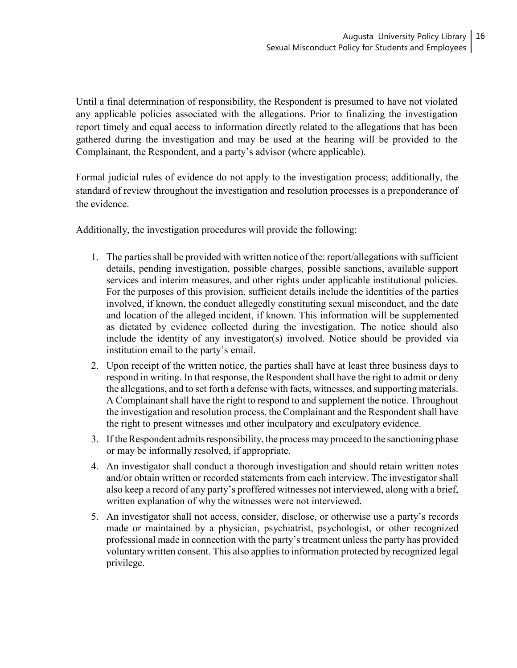Until a final determination of responsibility, the Respondent is presumed to have not violated any applicable policies associated with the allegations. Prior to finalizing the investigation report timely and equal access to information directly related to the allegations that has been gathered during the investigation and may be used at the hearing will be provided to the Complainant, the Respondent, and a party's advisor (where applicable).

Formal judicial rules of evidence do not apply to the investigation process; additionally, the standard of review throughout the investigation and resolution processes is a preponderance of the evidence.

Additionally, the investigation procedures will provide the following:

- 1. The parties shall be provided with written notice of the: report/allegations with sufficient details, pending investigation, possible charges, possible sanctions, available support services and interim measures, and other rights under applicable institutional policies. For the purposes of this provision, sufficient details include the identities of the parties involved, if known, the conduct allegedly constituting sexual misconduct, and the date and location of the alleged incident, if known. This information will be supplemented as dictated by evidence collected during the investigation. The notice should also include the identity of any investigator(s) involved. Notice should be provided via institution email to the party's email.
- 2. Upon receipt of the written notice, the parties shall have at least three business days to respond in writing. In that response, the Respondent shall have the right to admit or deny the allegations, and to set forth a defense with facts, witnesses, and supporting materials. A Complainant shall have the right to respond to and supplement the notice. Throughout the investigation and resolution process, the Complainant and the Respondent shall have the right to present witnesses and other inculpatory and exculpatory evidence.
- 3. If the Respondent admits responsibility, the process may proceed to the sanctioning phase or may be informally resolved, if appropriate.
- 4. An investigator shall conduct a thorough investigation and should retain written notes and/or obtain written or recorded statements from each interview. The investigator shall also keep a record of any party's proffered witnesses not interviewed, along with a brief, written explanation of why the witnesses were not interviewed.
- 5. An investigator shall not access, consider, disclose, or otherwise use a party's records made or maintained by a physician, psychiatrist, psychologist, or other recognized professional made in connection with the party's treatment unless the party has provided voluntary written consent. This also appliesto information protected by recognized legal privilege.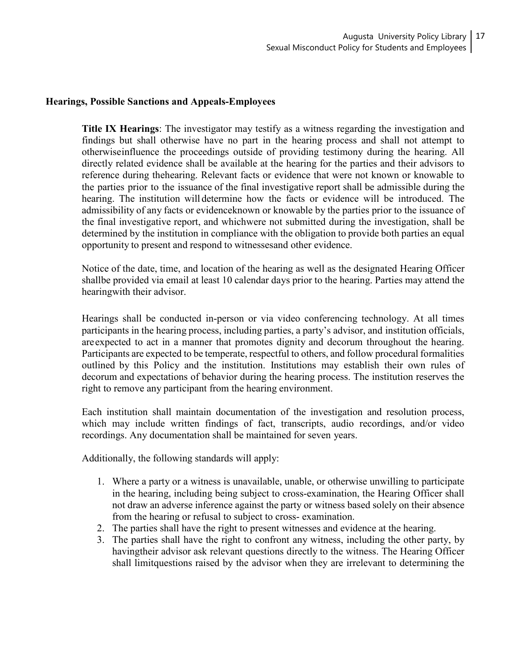## **Hearings, Possible Sanctions and Appeals-Employees**

**Title IX Hearings**: The investigator may testify as a witness regarding the investigation and findings but shall otherwise have no part in the hearing process and shall not attempt to otherwiseinfluence the proceedings outside of providing testimony during the hearing. All directly related evidence shall be available at the hearing for the parties and their advisors to reference during thehearing. Relevant facts or evidence that were not known or knowable to the parties prior to the issuance of the final investigative report shall be admissible during the hearing. The institution will determine how the facts or evidence will be introduced. The admissibility of any facts or evidenceknown or knowable by the parties prior to the issuance of the final investigative report, and whichwere not submitted during the investigation, shall be determined by the institution in compliance with the obligation to provide both parties an equal opportunity to present and respond to witnessesand other evidence.

Notice of the date, time, and location of the hearing as well as the designated Hearing Officer shallbe provided via email at least 10 calendar days prior to the hearing. Parties may attend the hearingwith their advisor.

Hearings shall be conducted in-person or via video conferencing technology. At all times participants in the hearing process, including parties, a party's advisor, and institution officials, areexpected to act in a manner that promotes dignity and decorum throughout the hearing. Participants are expected to be temperate, respectful to others, and follow procedural formalities outlined by this Policy and the institution. Institutions may establish their own rules of decorum and expectations of behavior during the hearing process. The institution reserves the right to remove any participant from the hearing environment.

Each institution shall maintain documentation of the investigation and resolution process, which may include written findings of fact, transcripts, audio recordings, and/or video recordings. Any documentation shall be maintained for seven years.

Additionally, the following standards will apply:

- 1. Where a party or a witness is unavailable, unable, or otherwise unwilling to participate in the hearing, including being subject to cross-examination, the Hearing Officer shall not draw an adverse inference against the party or witness based solely on their absence from the hearing or refusal to subject to cross- examination.
- 2. The parties shall have the right to present witnesses and evidence at the hearing.
- 3. The parties shall have the right to confront any witness, including the other party, by havingtheir advisor ask relevant questions directly to the witness. The Hearing Officer shall limitquestions raised by the advisor when they are irrelevant to determining the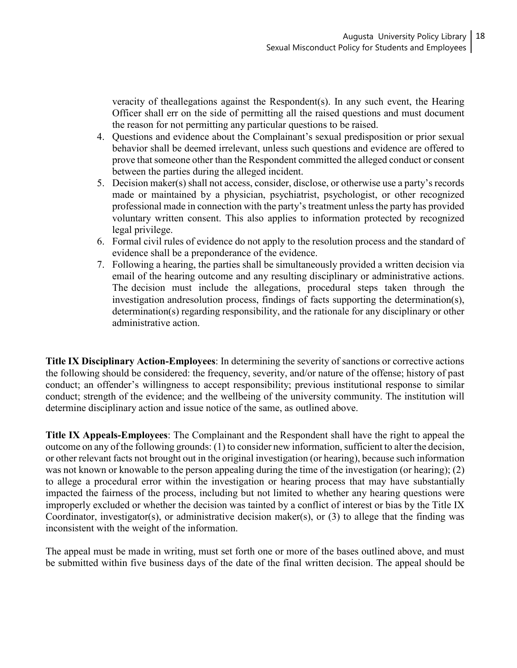veracity of theallegations against the Respondent(s). In any such event, the Hearing Officer shall err on the side of permitting all the raised questions and must document the reason for not permitting any particular questions to be raised.

- 4. Questions and evidence about the Complainant's sexual predisposition or prior sexual behavior shall be deemed irrelevant, unless such questions and evidence are offered to prove that someone other than the Respondent committed the alleged conduct or consent between the parties during the alleged incident.
- 5. Decision maker(s) shall not access, consider, disclose, or otherwise use a party's records made or maintained by a physician, psychiatrist, psychologist, or other recognized professional made in connection with the party's treatment unless the party has provided voluntary written consent. This also applies to information protected by recognized legal privilege.
- 6. Formal civil rules of evidence do not apply to the resolution process and the standard of evidence shall be a preponderance of the evidence.
- 7. Following a hearing, the parties shall be simultaneously provided a written decision via email of the hearing outcome and any resulting disciplinary or administrative actions. The decision must include the allegations, procedural steps taken through the investigation andresolution process, findings of facts supporting the determination(s), determination(s) regarding responsibility, and the rationale for any disciplinary or other administrative action.

**Title IX Disciplinary Action-Employees**: In determining the severity of sanctions or corrective actions the following should be considered: the frequency, severity, and/or nature of the offense; history of past conduct; an offender's willingness to accept responsibility; previous institutional response to similar conduct; strength of the evidence; and the wellbeing of the university community. The institution will determine disciplinary action and issue notice of the same, as outlined above.

**Title IX Appeals-Employees**: The Complainant and the Respondent shall have the right to appeal the outcome on any of the following grounds: (1) to consider new information, sufficient to alter the decision, or other relevant facts not brought out in the original investigation (or hearing), because such information was not known or knowable to the person appealing during the time of the investigation (or hearing); (2) to allege a procedural error within the investigation or hearing process that may have substantially impacted the fairness of the process, including but not limited to whether any hearing questions were improperly excluded or whether the decision was tainted by a conflict of interest or bias by the Title IX Coordinator, investigator(s), or administrative decision maker(s), or (3) to allege that the finding was inconsistent with the weight of the information.

The appeal must be made in writing, must set forth one or more of the bases outlined above, and must be submitted within five business days of the date of the final written decision. The appeal should be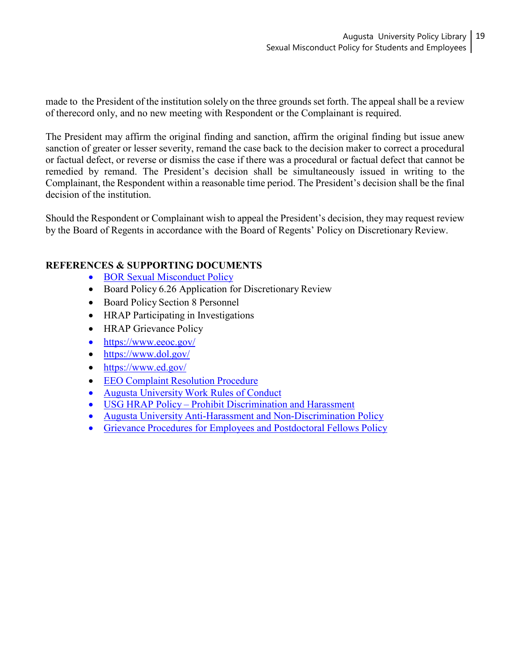made to the President of the institution solely on the three grounds set forth. The appeal shall be a review of therecord only, and no new meeting with Respondent or the Complainant is required.

The President may affirm the original finding and sanction, affirm the original finding but issue anew sanction of greater or lesser severity, remand the case back to the decision maker to correct a procedural or factual defect, or reverse or dismiss the case if there was a procedural or factual defect that cannot be remedied by remand. The President's decision shall be simultaneously issued in writing to the Complainant, the Respondent within a reasonable time period. The President's decision shall be the final decision of the institution.

Should the Respondent or Complainant wish to appeal the President's decision, they may request review by the Board of Regents in accordance with the Board of Regents' Policy on Discretionary Review.

# **REFERENCES & SUPPORTING DOCUMENTS**

- BOR Sexual [Misconduct](https://www.usg.edu/policymanual/section6/C2655/) Policy
- Board Policy 6.26 Application for Discretionary Review
- Board Policy Section 8 Personnel
- HRAP Participating in Investigations
- HRAP Grievance Policy
- <https://www.eeoc.gov/>
- <https://www.dol.gov/>
- <https://www.ed.gov/>
- EEO Complaint [Resolution](https://www.augusta.edu/hr/relations/university-employee-relations/complaints.php) Procedure
- [Augusta University](https://www.augusta.edu/hr/relations/university-employee-relations/documents/au_work_rules_updated_3.16.2020.pdf) Work Rules of Conduct
- USG HRAP Policy Prohibit [Discrimination](https://www.usg.edu/hr/assets/hr/hrap_manual/HRAP_Prohibit_Discrimination__Harassment_Employee_Relations.pdf) and Harassment
- Augusta University Anti-Harassment and [Non-Discrimination](https://www.augusta.edu/compliance/policyinfo/policy/anti-harassment-non-discrimination-policy.pdf) Policy
- Grievance [Procedures for](https://www.augusta.edu/compliance/policyinfo/policy/grievance-procedures-employee-postdoctoral-fellows-policy.pdf) Employees and Postdoctoral Fellows Policy